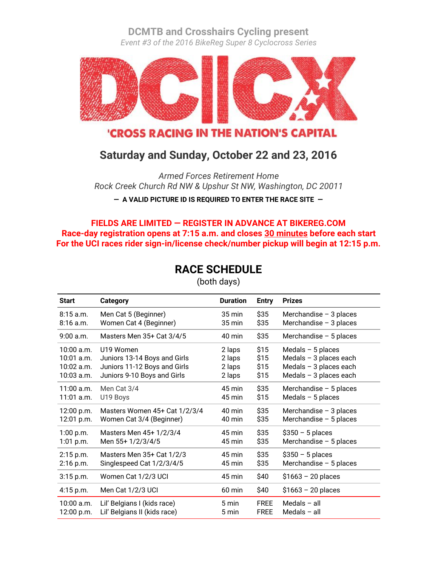**[DCMTB](http://dcmtb.org/) and [Crosshairs Cycling](http://www.cxhairs.com/) present**

*Event #3 of the 2016 BikeReg Super 8 Cyclocross Series*



**'CROSS RACING IN THE NATION'S CAPITAL** 

# **Saturday and Sunday, October 22 and 23, 2016**

*Armed Forces Retirement Home Rock Creek Church Rd NW & Upshur St NW, Washington, DC 20011*

**— A VALID PICTURE ID IS REQUIRED TO ENTER THE RACE SITE —**

## **FIELDS ARE LIMITED — REGISTER IN ADVANCE AT [BIKEREG.COM](https://www.bikereg.com/) Race-day registration opens at 7:15 a.m. and closes 30 minutes before each start For the UCI races rider sign-in/license check/number pickup will begin at 12:15 p.m.**

# **RACE SCHEDULE**

| <b>Start</b> | Category                      | <b>Duration</b>     | <b>Entry</b> | <b>Prizes</b>            |
|--------------|-------------------------------|---------------------|--------------|--------------------------|
| $8:15$ a.m.  | Men Cat 5 (Beginner)          | $35 \,\mathrm{min}$ | \$35         | Merchandise $-3$ places  |
| $8:16$ a.m.  | Women Cat 4 (Beginner)        | 35 min              | \$35         | Merchandise $-3$ places  |
| 9:00 a.m.    | Masters Men 35+ Cat 3/4/5     | $40 \text{ min}$    | \$35         | Merchandise $-5$ places  |
| 10:00 a.m.   | U19 Women                     | 2 laps              | \$15         | Medals $-5$ places       |
| 10:01 a.m.   | Juniors 13-14 Boys and Girls  | 2 laps              | \$15         | Medals $-$ 3 places each |
| 10:02 a.m.   | Juniors 11-12 Boys and Girls  | 2 laps              | \$15         | Medals $-$ 3 places each |
| 10:03 a.m.   | Juniors 9-10 Boys and Girls   | 2 laps              | \$15         | Medals $-$ 3 places each |
| $11:00$ a.m. | Men Cat 3/4                   | 45 min              | \$35         | Merchandise $-5$ places  |
| 11:01 a.m.   | U19 Boys                      | 45 min              | \$15         | Medals $-5$ places       |
| 12:00 p.m.   | Masters Women 45+ Cat 1/2/3/4 | $40 \text{ min}$    | \$35         | Merchandise - 3 places   |
| 12:01 p.m.   | Women Cat 3/4 (Beginner)      | 40 min              | \$35         | Merchandise $-5$ places  |
| 1:00 p.m.    | Masters Men 45+ 1/2/3/4       | 45 min              | \$35         | $$350 - 5$ places        |
| $1:01$ p.m.  | Men 55+ 1/2/3/4/5             | 45 min              | \$35         | Merchandise - 5 places   |
| 2:15 p.m.    | Masters Men 35+ Cat 1/2/3     | 45 min              | \$35         | $$350 - 5$ places        |
| $2:16$ p.m.  | Singlespeed Cat 1/2/3/4/5     | 45 min              | \$35         | Merchandise $-5$ places  |
| 3:15 p.m.    | Women Cat 1/2/3 UCI           | 45 min              | \$40         | $$1663 - 20$ places      |
| 4:15 p.m.    | Men Cat 1/2/3 UCI             | 60 min              | \$40         | $$1663 - 20$ places      |
| 10:00 a.m.   | Lil' Belgians I (kids race)   | 5 min               | <b>FREE</b>  | Medals $-$ all           |
| 12:00 p.m.   | Lil' Belgians II (kids race)  | 5 min               | <b>FREE</b>  | Medals $-$ all           |

(both days)